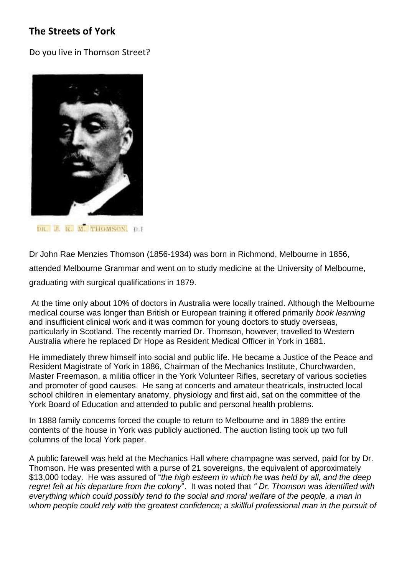## **The Streets of York**

Do you live in Thomson Street?



DR. J. R. M. THOMSON, D. I.

Dr John Rae Menzies Thomson (1856-1934) was born in Richmond, Melbourne in 1856, attended Melbourne Grammar and went on to study medicine at the University of Melbourne, graduating with surgical qualifications in 1879.

At the time only about 10% of doctors in Australia were locally trained. Although the Melbourne medical course was longer than British or European training it offered primarily *book learning* and insufficient clinical work and it was common for young doctors to study overseas, particularly in Scotland. The recently married Dr. Thomson, however, travelled to Western Australia where he replaced Dr Hope as Resident Medical Officer in York in 1881.

He immediately threw himself into social and public life. He became a Justice of the Peace and Resident Magistrate of York in 1886, Chairman of the Mechanics Institute, Churchwarden, Master Freemason, a militia officer in the York Volunteer Rifles, secretary of various societies and promoter of good causes. He sang at concerts and amateur theatricals, instructed local school children in elementary anatomy, physiology and first aid, sat on the committee of the York Board of Education and attended to public and personal health problems.

In 1888 family concerns forced the couple to return to Melbourne and in 1889 the entire contents of the house in York was publicly auctioned. The auction listing took up two full columns of the local York paper.

A public farewell was held at the Mechanics Hall where champagne was served, paid for by Dr. Thomson. He was presented with a purse of 21 sovereigns, the equivalent of approximately \$13,000 today. He was assured of "*the high esteem in which he was held by all, and the deep regret felt at his departure from the colony*". It was noted that *" Dr. Thomson* was *identified with everything which could possibly tend to the social and moral welfare of the people, a man in*  whom people could rely with the greatest confidence; a skillful professional man in the pursuit of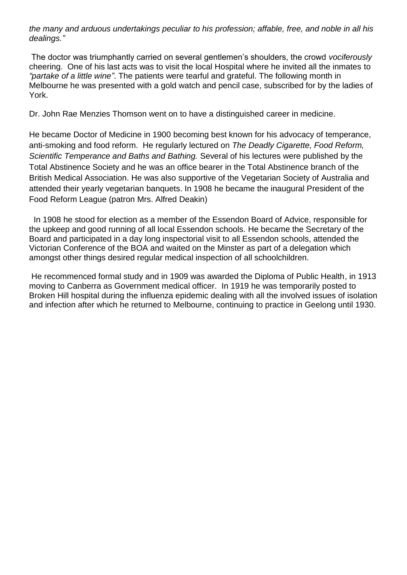*the many and arduous undertakings peculiar to his profession; affable, free, and noble in all his dealings."*

The doctor was triumphantly carried on several gentlemen's shoulders, the crowd *vociferously*  cheering. One of his last acts was to visit the local Hospital where he invited all the inmates to *"partake of a little wine"*. The patients were tearful and grateful. The following month in Melbourne he was presented with a gold watch and pencil case, subscribed for by the ladies of York.

Dr. John Rae Menzies Thomson went on to have a distinguished career in medicine.

He became Doctor of Medicine in 1900 becoming best known for his advocacy of temperance, anti-smoking and food reform. He regularly lectured on *The Deadly Cigarette, Food Reform, Scientific Temperance and Baths and Bathing.* Several of his lectures were published by the Total Abstinence Society and he was an office bearer in the Total Abstinence branch of the British Medical Association. He was also supportive of the Vegetarian Society of Australia and attended their yearly vegetarian banquets. In 1908 he became the inaugural President of the Food Reform League (patron Mrs. Alfred Deakin)

In 1908 he stood for election as a member of the Essendon Board of Advice, responsible for the upkeep and good running of all local Essendon schools. He became the Secretary of the Board and participated in a day long inspectorial visit to all Essendon schools, attended the Victorian Conference of the BOA and waited on the Minster as part of a delegation which amongst other things desired regular medical inspection of all schoolchildren.

He recommenced formal study and in 1909 was awarded the Diploma of Public Health, in 1913 moving to Canberra as Government medical officer. In 1919 he was temporarily posted to Broken Hill hospital during the influenza epidemic dealing with all the involved issues of isolation and infection after which he returned to Melbourne, continuing to practice in Geelong until 1930.